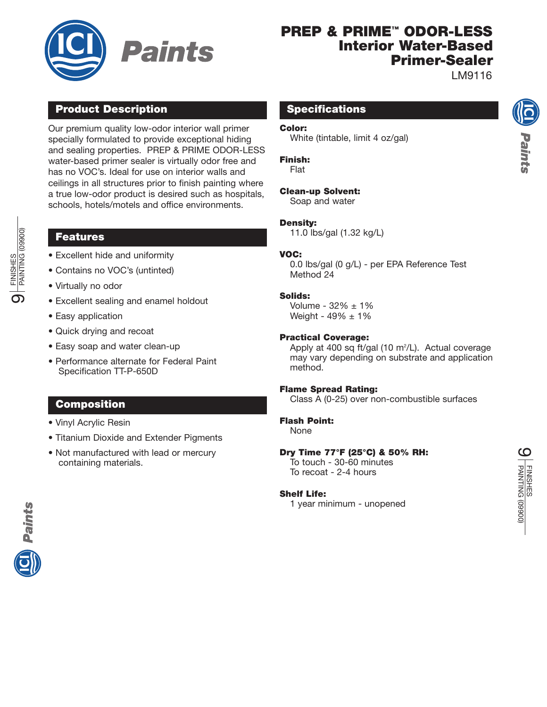

# **PREP & PRIME™ ODOR-LESS Interior Water-Based Primer-Sealer**

LM9116

Paints

# **Product Description**

Our premium quality low-odor interior wall primer specially formulated to provide exceptional hiding and sealing properties. PREP & PRIME ODOR-LESS water-based primer sealer is virtually odor free and has no VOC's. Ideal for use on interior walls and ceilings in all structures prior to finish painting where a true low-odor product is desired such as hospitals, schools, hotels/motels and office environments.

# **Features**

- Excellent hide and uniformity
- Contains no VOC's (untinted)
- Virtually no odor
- Excellent sealing and enamel holdout
- Easy application
- Quick drying and recoat
- Easy soap and water clean-up
- Performance alternate for Federal Paint Specification TT-P-650D

# **Composition**

- Vinyl Acrylic Resin
- Titanium Dioxide and Extender Pigments
- Not manufactured with lead or mercury containing materials.

### **Specifications**

#### **Color:**

White (tintable, limit 4 oz/gal)

#### **Finish:**

Flat

### **Clean-up Solvent:**

Soap and water

#### **Density:**

11.0 lbs/gal (1.32 kg/L)

### **VOC:**

0.0 lbs/gal (0 g/L) - per EPA Reference Test Method 24

### **Solids:**

Volume -  $32\% \pm 1\%$ Weight -  $49\% \pm 1\%$ 

#### **Practical Coverage:**

Apply at 400 sq ft/gal (10 m<sup>2</sup>/L). Actual coverage may vary depending on substrate and application method.

#### **Flame Spread Rating:**

Class A (0-25) over non-combustible surfaces

### **Flash Point:**

None

### **Dry Time 77°F (25°C) & 50% RH:**

To touch - 30-60 minutes To recoat - 2-4 hours

#### **Shelf Life:**

1 year minimum - unopened



FINISHES PAINTING (09900)

(00860) DNITNIAC FINISHES

ග